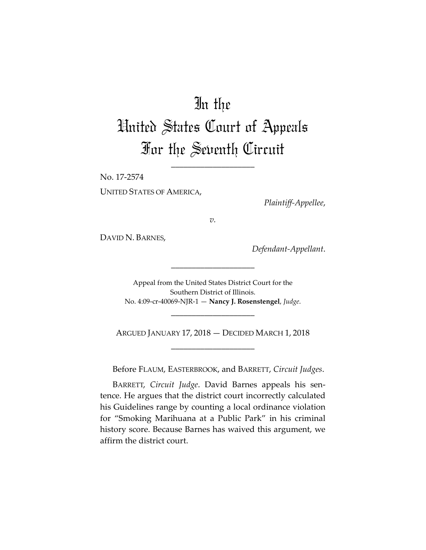## In the

## United States Court of Appeals For the Seventh Circuit

\_\_\_\_\_\_\_\_\_\_\_\_\_\_\_\_\_\_\_\_

No. 17-2574

UNITED STATES OF AMERICA,

*Plaintiff-Appellee*,

*v.*

DAVID N. BARNES,

*Defendant-Appellant*.

Appeal from the United States District Court for the Southern District of Illinois. No. 4:09-cr-40069-NJR-1 — **Nancy J. Rosenstengel**, *Judge*.

\_\_\_\_\_\_\_\_\_\_\_\_\_\_\_\_\_\_\_\_

ARGUED JANUARY 17, 2018 — DECIDED MARCH 1, 2018 \_\_\_\_\_\_\_\_\_\_\_\_\_\_\_\_\_\_\_\_

\_\_\_\_\_\_\_\_\_\_\_\_\_\_\_\_\_\_\_\_

Before FLAUM, EASTERBROOK, and BARRETT, *Circuit Judges*.

BARRETT, *Circuit Judge*. David Barnes appeals his sentence. He argues that the district court incorrectly calculated his Guidelines range by counting a local ordinance violation for "Smoking Marihuana at a Public Park" in his criminal history score. Because Barnes has waived this argument, we affirm the district court.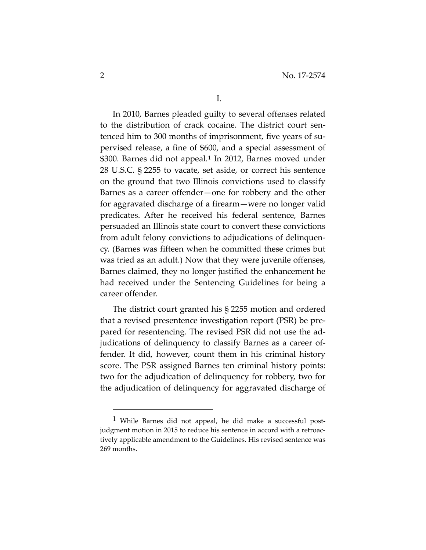In 2010, Barnes pleaded guilty to several offenses related to the distribution of crack cocaine. The district court sentenced him to 300 months of imprisonment, five years of supervised release, a fine of \$600, and a special assessment of \$300. Barnes did not appeal.<sup>[1](#page-1-0)</sup> In 2012, Barnes moved under 28 U.S.C. § 2255 to vacate, set aside, or correct his sentence on the ground that two Illinois convictions used to classify Barnes as a career offender—one for robbery and the other for aggravated discharge of a firearm—were no longer valid predicates. After he received his federal sentence, Barnes persuaded an Illinois state court to convert these convictions from adult felony convictions to adjudications of delinquency. (Barnes was fifteen when he committed these crimes but was tried as an adult.) Now that they were juvenile offenses, Barnes claimed, they no longer justified the enhancement he had received under the Sentencing Guidelines for being a career offender.

The district court granted his § 2255 motion and ordered that a revised presentence investigation report (PSR) be prepared for resentencing. The revised PSR did not use the adjudications of delinquency to classify Barnes as a career offender. It did, however, count them in his criminal history score. The PSR assigned Barnes ten criminal history points: two for the adjudication of delinquency for robbery, two for the adjudication of delinquency for aggravated discharge of

 $\overline{a}$ 

<span id="page-1-0"></span><sup>1</sup> While Barnes did not appeal, he did make a successful postjudgment motion in 2015 to reduce his sentence in accord with a retroactively applicable amendment to the Guidelines. His revised sentence was 269 months.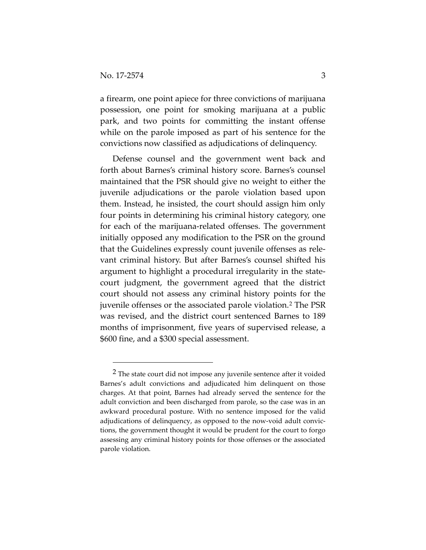$\overline{a}$ 

a firearm, one point apiece for three convictions of marijuana possession, one point for smoking marijuana at a public park, and two points for committing the instant offense while on the parole imposed as part of his sentence for the convictions now classified as adjudications of delinquency.

Defense counsel and the government went back and forth about Barnes's criminal history score. Barnes's counsel maintained that the PSR should give no weight to either the juvenile adjudications or the parole violation based upon them. Instead, he insisted, the court should assign him only four points in determining his criminal history category, one for each of the marijuana-related offenses. The government initially opposed any modification to the PSR on the ground that the Guidelines expressly count juvenile offenses as relevant criminal history. But after Barnes's counsel shifted his argument to highlight a procedural irregularity in the statecourt judgment, the government agreed that the district court should not assess any criminal history points for the juvenile offenses or the associated parole violation.[2](#page-2-0) The PSR was revised, and the district court sentenced Barnes to 189 months of imprisonment, five years of supervised release, a \$600 fine, and a \$300 special assessment.

<span id="page-2-0"></span><sup>&</sup>lt;sup>2</sup> The state court did not impose any juvenile sentence after it voided Barnes's adult convictions and adjudicated him delinquent on those charges. At that point, Barnes had already served the sentence for the adult conviction and been discharged from parole, so the case was in an awkward procedural posture. With no sentence imposed for the valid adjudications of delinquency, as opposed to the now-void adult convictions, the government thought it would be prudent for the court to forgo assessing any criminal history points for those offenses or the associated parole violation.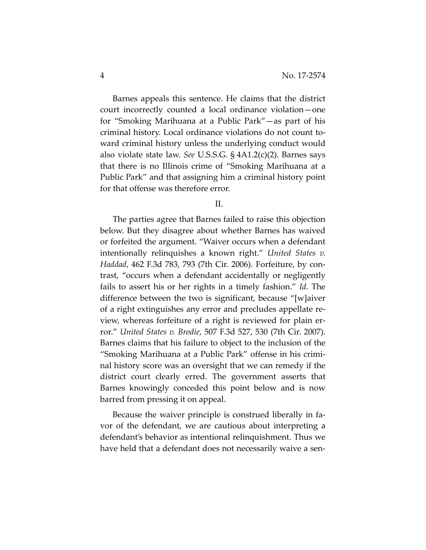Barnes appeals this sentence. He claims that the district court incorrectly counted a local ordinance violation—one for "Smoking Marihuana at a Public Park"—as part of his criminal history. Local ordinance violations do not count toward criminal history unless the underlying conduct would also violate state law. *See* U.S.S.G. § 4A1.2(c)(2). Barnes says that there is no Illinois crime of "Smoking Marihuana at a Public Park" and that assigning him a criminal history point for that offense was therefore error.

II.

The parties agree that Barnes failed to raise this objection below. But they disagree about whether Barnes has waived or forfeited the argument. "Waiver occurs when a defendant intentionally relinquishes a known right." *United States v. Haddad*, 462 F.3d 783, 793 (7th Cir. 2006). Forfeiture, by contrast, "occurs when a defendant accidentally or negligently fails to assert his or her rights in a timely fashion." *Id.* The difference between the two is significant, because "[w]aiver of a right extinguishes any error and precludes appellate review, whereas forfeiture of a right is reviewed for plain error." *United States v. Brodie*, 507 F.3d 527, 530 (7th Cir. 2007). Barnes claims that his failure to object to the inclusion of the "Smoking Marihuana at a Public Park" offense in his criminal history score was an oversight that we can remedy if the district court clearly erred. The government asserts that Barnes knowingly conceded this point below and is now barred from pressing it on appeal.

Because the waiver principle is construed liberally in favor of the defendant, we are cautious about interpreting a defendant's behavior as intentional relinquishment. Thus we have held that a defendant does not necessarily waive a sen-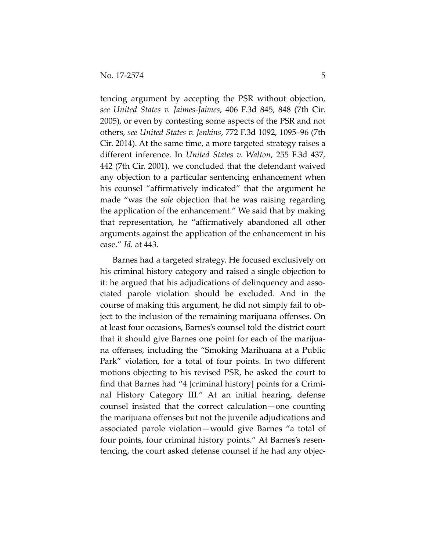tencing argument by accepting the PSR without objection, *see United States v. Jaimes-Jaimes*, 406 F.3d 845, 848 (7th Cir. 2005), or even by contesting some aspects of the PSR and not others, *see United States v. Jenkins*, 772 F.3d 1092, 1095–96 (7th Cir. 2014). At the same time, a more targeted strategy raises a different inference. In *United States v. Walton*, 255 F.3d 437, 442 (7th Cir. 2001), we concluded that the defendant waived any objection to a particular sentencing enhancement when his counsel "affirmatively indicated" that the argument he made "was the *sole* objection that he was raising regarding the application of the enhancement." We said that by making that representation, he "affirmatively abandoned all other arguments against the application of the enhancement in his case." *Id.* at 443.

Barnes had a targeted strategy. He focused exclusively on his criminal history category and raised a single objection to it: he argued that his adjudications of delinquency and associated parole violation should be excluded. And in the course of making this argument, he did not simply fail to object to the inclusion of the remaining marijuana offenses. On at least four occasions, Barnes's counsel told the district court that it should give Barnes one point for each of the marijuana offenses, including the "Smoking Marihuana at a Public Park" violation, for a total of four points. In two different motions objecting to his revised PSR, he asked the court to find that Barnes had "4 [criminal history] points for a Criminal History Category III." At an initial hearing, defense counsel insisted that the correct calculation—one counting the marijuana offenses but not the juvenile adjudications and associated parole violation—would give Barnes "a total of four points, four criminal history points." At Barnes's resentencing, the court asked defense counsel if he had any objec-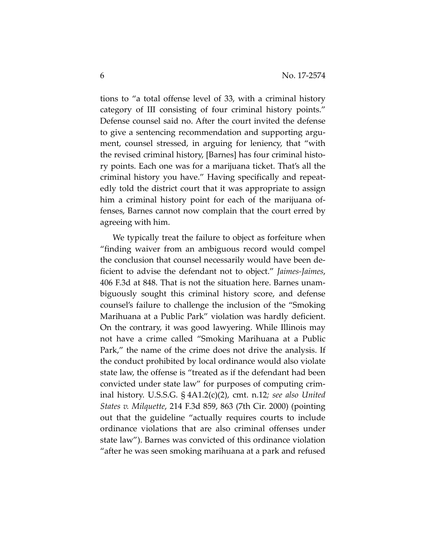tions to "a total offense level of 33, with a criminal history category of III consisting of four criminal history points." Defense counsel said no. After the court invited the defense to give a sentencing recommendation and supporting argument, counsel stressed, in arguing for leniency, that "with the revised criminal history, [Barnes] has four criminal history points. Each one was for a marijuana ticket. That's all the criminal history you have." Having specifically and repeatedly told the district court that it was appropriate to assign him a criminal history point for each of the marijuana offenses, Barnes cannot now complain that the court erred by agreeing with him.

We typically treat the failure to object as forfeiture when "finding waiver from an ambiguous record would compel the conclusion that counsel necessarily would have been deficient to advise the defendant not to object." *Jaimes-Jaimes*, 406 F.3d at 848. That is not the situation here. Barnes unambiguously sought this criminal history score, and defense counsel's failure to challenge the inclusion of the "Smoking Marihuana at a Public Park" violation was hardly deficient. On the contrary, it was good lawyering. While Illinois may not have a crime called "Smoking Marihuana at a Public Park," the name of the crime does not drive the analysis. If the conduct prohibited by local ordinance would also violate state law, the offense is "treated as if the defendant had been convicted under state law" for purposes of computing criminal history. U.S.S.G. § 4A1.2(c)(2), cmt. n.12*; see also United States v. Milquette*, 214 F.3d 859, 863 (7th Cir. 2000) (pointing out that the guideline "actually requires courts to include ordinance violations that are also criminal offenses under state law"). Barnes was convicted of this ordinance violation "after he was seen smoking marihuana at a park and refused